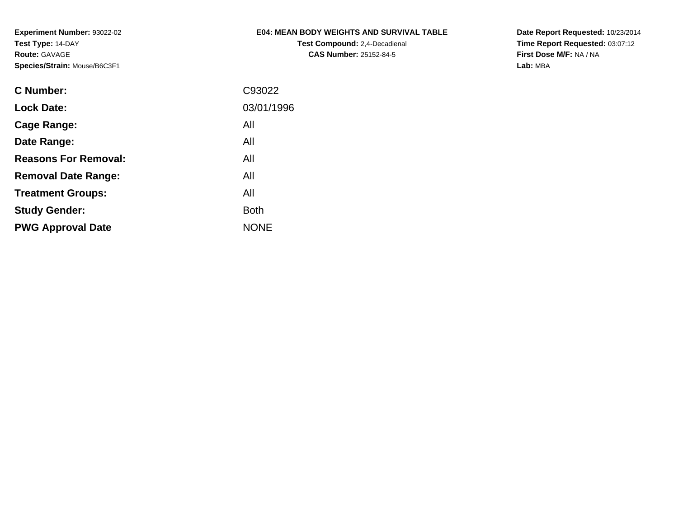## **E04: MEAN BODY WEIGHTS AND SURVIVAL TABLE**

**Test Compound:** 2,4-Decadienal **CAS Number:** 25152-84-5

**Date Report Requested:** 10/23/2014 **Time Report Requested:** 03:07:12**First Dose M/F:** NA / NA**Lab:** MBA

| C93022      |
|-------------|
| 03/01/1996  |
| All         |
| All         |
| All         |
| All         |
| All         |
| <b>Both</b> |
| <b>NONE</b> |
|             |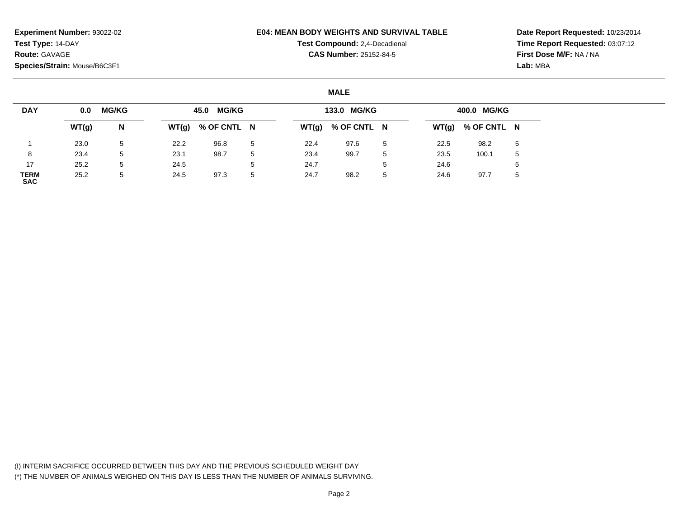#### **E04: MEAN BODY WEIGHTS AND SURVIVAL TABLE**

**Test Compound:** 2,4-Decadienal **CAS Number:** 25152-84-5

**Date Report Requested:** 10/23/2014**Time Report Requested:** 03:07:12**First Dose M/F:** NA / NA**Lab:** MBA

### **MALE**

| <b>DAY</b>                | 0.0   | <b>MG/KG</b> |      | 45.0 MG/KG          |                 |      | 133.0 MG/KG         |                 |      | 400.0 MG/KG         |   |
|---------------------------|-------|--------------|------|---------------------|-----------------|------|---------------------|-----------------|------|---------------------|---|
|                           | WT(g) | N            |      | $WT(g)$ % OF CNTL N |                 |      | $WT(g)$ % OF CNTL N |                 |      | $WT(g)$ % OF CNTL N |   |
|                           | 23.0  | 5            | 22.2 | 96.8                | 5               | 22.4 | 97.6                | $5\overline{a}$ | 22.5 | 98.2                | 5 |
| 8                         | 23.4  | 5            | 23.1 | 98.7                | 5               | 23.4 | 99.7                | 5               | 23.5 | 100.1               | 5 |
| 17                        | 25.2  | 5            | 24.5 |                     | $5\overline{a}$ | 24.7 |                     | b               | 24.6 |                     | 5 |
| <b>TERM</b><br><b>SAC</b> | 25.2  | 5            | 24.5 | 97.3                | 5               | 24.7 | 98.2                | 5               | 24.6 | 97.7                | 5 |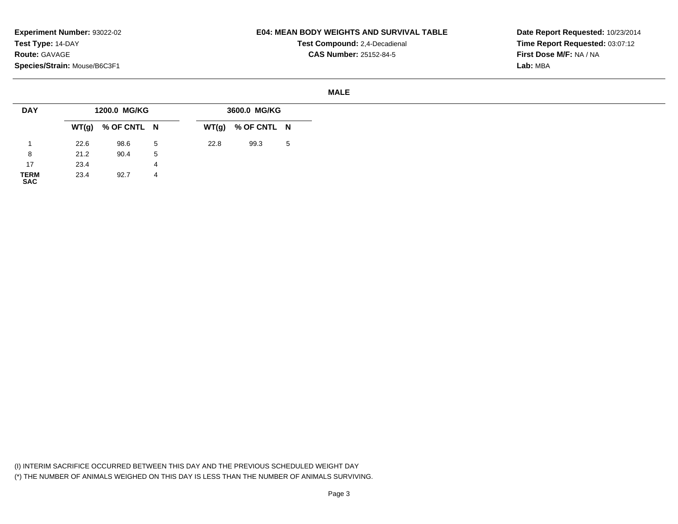### **E04: MEAN BODY WEIGHTS AND SURVIVAL TABLE**

**Test Compound:** 2,4-Decadienal **CAS Number:** 25152-84-5

**Date Report Requested:** 10/23/2014**Time Report Requested:** 03:07:12**First Dose M/F:** NA / NA**Lab:** MBA

#### **MALE**

| <b>DAY</b>          |      | 1200.0 MG/KG        |   |      | 3600.0 MG/KG        |   |
|---------------------|------|---------------------|---|------|---------------------|---|
|                     |      | $WT(g)$ % OF CNTL N |   |      | $WT(g)$ % OF CNTL N |   |
|                     | 22.6 | 98.6                | 5 | 22.8 | 99.3                | 5 |
| 8                   | 21.2 | 90.4                | 5 |      |                     |   |
| 17                  | 23.4 |                     | 4 |      |                     |   |
| <b>TERM</b><br>0.00 | 23.4 | 92.7                | 4 |      |                     |   |

**SAC**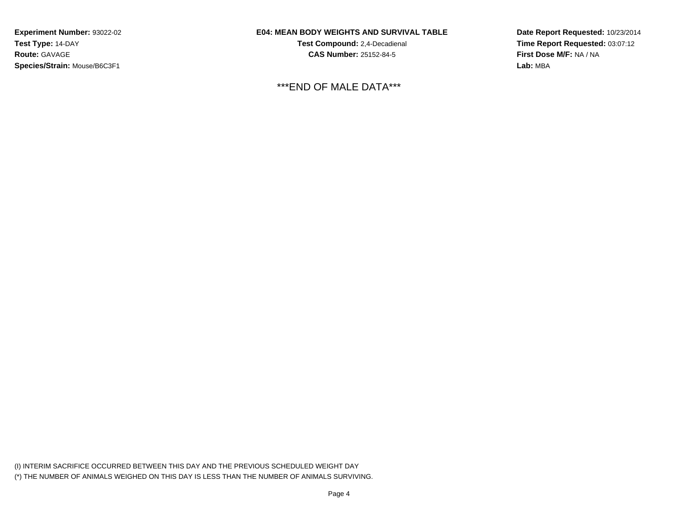## **E04: MEAN BODY WEIGHTS AND SURVIVAL TABLE**

**Test Compound:** 2,4-Decadienal **CAS Number:** 25152-84-5

\*\*\*END OF MALE DATA\*\*\*

**Date Report Requested:** 10/23/2014**Time Report Requested:** 03:07:12**First Dose M/F:** NA / NA**Lab:** MBA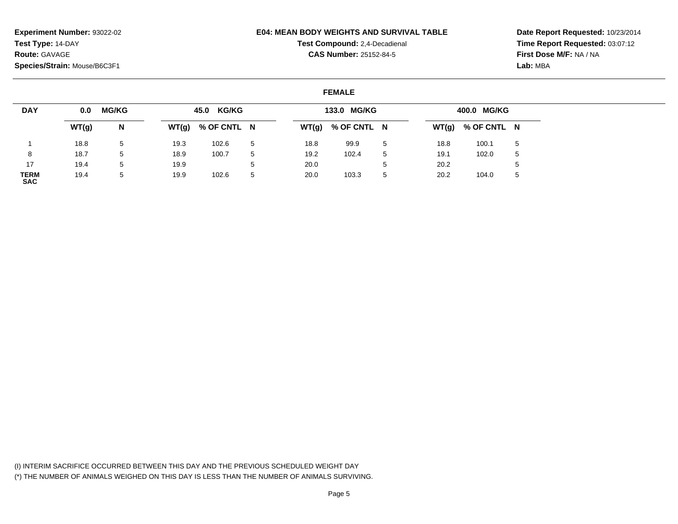#### **E04: MEAN BODY WEIGHTS AND SURVIVAL TABLE**

**Test Compound:** 2,4-Decadienal **CAS Number:** 25152-84-5

**Date Report Requested:** 10/23/2014**Time Report Requested:** 03:07:12**First Dose M/F:** NA / NA**Lab:** MBA

### **FEMALE**

| <b>DAY</b>                | 0.0   | <b>MG/KG</b> |      | 45.0 KG/KG          |    |      | 133.0 MG/KG         |    |      | 400.0 MG/KG         |   |
|---------------------------|-------|--------------|------|---------------------|----|------|---------------------|----|------|---------------------|---|
|                           | WT(g) | N            |      | $WT(g)$ % OF CNTL N |    |      | $WT(g)$ % OF CNTL N |    |      | $WT(g)$ % OF CNTL N |   |
|                           | 18.8  | 5            | 19.3 | 102.6               | 5  | 18.8 | 99.9                | 5  | 18.8 | 100.1               | 5 |
| 8                         | 18.7  | 5            | 18.9 | 100.7               |    | 19.2 | 102.4               | 5  | 19.1 | 102.0               | 5 |
| 17                        | 19.4  | 5            | 19.9 |                     |    | 20.0 |                     | ÷. | 20.2 |                     | 5 |
| <b>TERM</b><br><b>SAC</b> | 19.4  | 5            | 19.9 | 102.6               | -5 | 20.0 | 103.3               | 5  | 20.2 | 104.0               | 5 |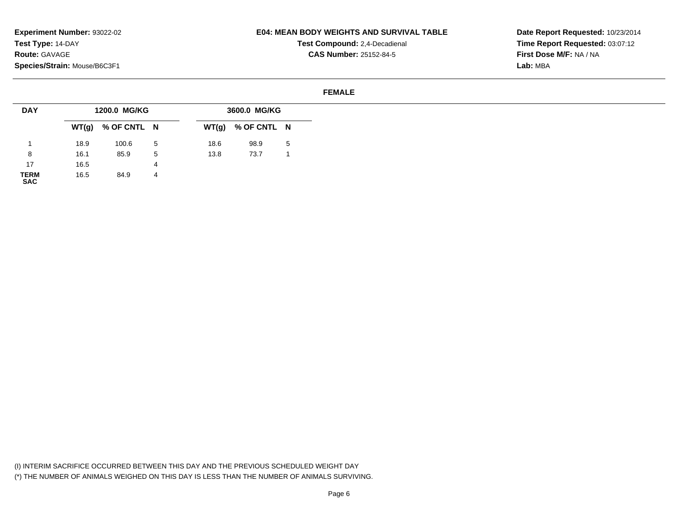### **E04: MEAN BODY WEIGHTS AND SURVIVAL TABLE**

**Test Compound:** 2,4-Decadienal **CAS Number:** 25152-84-5

**Date Report Requested:** 10/23/2014**Time Report Requested:** 03:07:12**First Dose M/F:** NA / NA**Lab:** MBA

#### **FEMALE**

| <b>DAY</b>  |      | 1200.0 MG/KG        |   |      | 3600.0 MG/KG        |   |
|-------------|------|---------------------|---|------|---------------------|---|
|             |      | $WT(g)$ % OF CNTL N |   |      | $WT(g)$ % OF CNTL N |   |
|             | 18.9 | 100.6               | 5 | 18.6 | 98.9                | 5 |
| 8           | 16.1 | 85.9                | 5 | 13.8 | 73.7                |   |
| 17          | 16.5 |                     | 4 |      |                     |   |
| <b>TERM</b> | 16.5 | 84.9                | 4 |      |                     |   |

**TERM SAC**